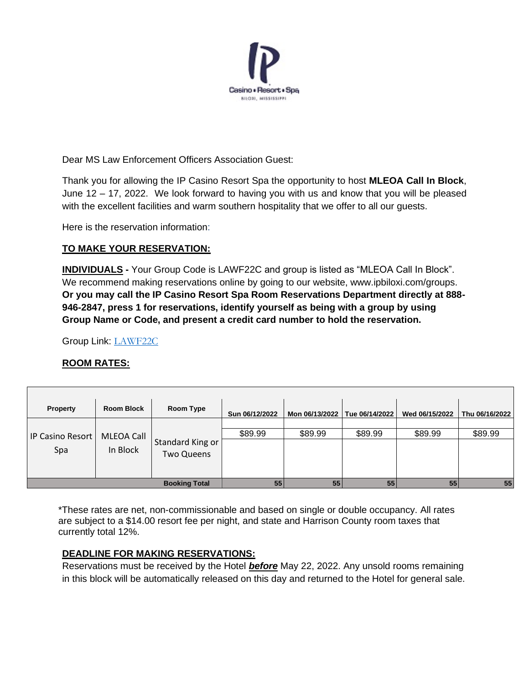

Dear MS Law Enforcement Officers Association Guest:

Thank you for allowing the IP Casino Resort Spa the opportunity to host **MLEOA Call In Block**, June 12 – 17, 2022. We look forward to having you with us and know that you will be pleased with the excellent facilities and warm southern hospitality that we offer to all our guests.

Here is the reservation information:

# **TO MAKE YOUR RESERVATION:**

**INDIVIDUALS -** Your Group Code is LAWF22C and group is listed as "MLEOA Call In Block". We recommend making reservations online by going to our website, www.ipbiloxi.com/groups. **Or you may call the IP Casino Resort Spa Room Reservations Department directly at 888- 946-2847, press 1 for reservations, identify yourself as being with a group by using Group Name or Code, and present a credit card number to hold the reservation.**

Group Link: [LAWF22C](https://res.ipbiloxi.com/cgi-bin/LANSAWEB?procfun+rn+resnet+ip1+funcparms+UP(A2560):;lawf22c;;;;;;;;;;;;;;;;;;;;;;;;;;;;;?&d=m)

## **ROOM RATES:**

| <b>Property</b>      | <b>Room Block</b> | Room Type         | Sun 06/12/2022 | Mon 06/13/2022 | Tue 06/14/2022 | Wed 06/15/2022 | Thu 06/16/2022 |
|----------------------|-------------------|-------------------|----------------|----------------|----------------|----------------|----------------|
| IP Casino Resort     | MLEOA Call        | Standard King or  |                |                |                |                |                |
|                      |                   |                   | \$89.99        | \$89.99        | \$89.99        | \$89.99        | \$89.99        |
| Spa                  | In Block          | <b>Two Queens</b> |                |                |                |                |                |
|                      |                   |                   |                |                |                |                |                |
|                      |                   |                   |                |                |                |                |                |
| <b>Booking Total</b> |                   |                   | 55             | 55             | 55             | 55             | 55             |

\*These rates are net, non-commissionable and based on single or double occupancy. All rates are subject to a \$14.00 resort fee per night, and state and Harrison County room taxes that currently total 12%.

## **DEADLINE FOR MAKING RESERVATIONS:**

Reservations must be received by the Hotel *before* May 22, 2022. Any unsold rooms remaining in this block will be automatically released on this day and returned to the Hotel for general sale.